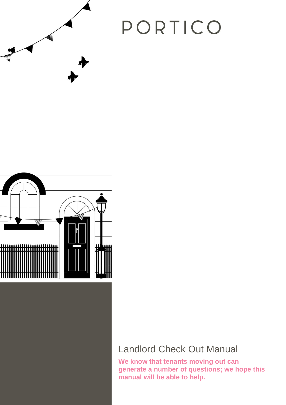## PORTICO



## Landlord Check Out Manual

**We know that tenants moving out can generate a number of questions; we hope this manual will be able to help.**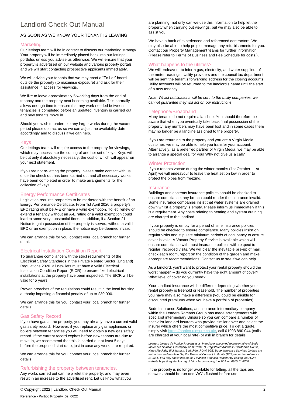### Landlord Check Out Manual

#### AS SOON AS WE KNOW YOUR TENANT IS LEAVING

#### Marketing

Our lettings team will be in contact to discuss our marketing strategy. Your property will be immediately placed back into our lettings portfolio, unless you advise us otherwise. We will ensure that your property is advertised on our website and various property portals and we will start contacting prospective applicants immediately.

We will advise your tenants that we may erect a "To Let" board outside the property (to maximise exposure) and ask for their assistance in access for viewings.

We like to leave approximately 5 working days from the end of tenancy and the property next becoming available. This normally allows enough time to ensure that any work needed between tenancies is completed before an updated inventory is carried out and new tenants move in.

Should you wish to undertake any larger works during the vacant period please contact us so we can adjust the availability date accordingly and to discuss if we can help.

#### Keys

Our lettings team will require access to the property for viewings, which may necessitate the cutting of another set of keys. Keys will be cut only if absolutely necessary, the cost of which will appear on your next statement.

If you are not re-letting the property, please make contact with us once the check out has been carried out and all necessary works have been completed in order to make arrangements for the collection of keys.

#### Energy Performance Certificates

Legislation requires properties to be marketed with the benefit of an Energy Performance Certificate. From 1st April 2020 a property's EPC rating must be A-E or have a valid exemption. To let, renew or extend a tenancy without an A-E rating or a valid exemption could lead to some very substantial fines. In addition, if a Section 21 Notice to gain possession of the property is served, without a valid EPC or an exemption in place, the notice may be deemed invalid.

We can arrange this for you, contact your local branch for further details.

#### Electrical Installation Condition Report

To guarantee compliance with the strict requirements of the Electrical Safety Standards in the Private Rented Sector (England) Regulations 2020, all new lets must have a valid Electrical Installation Condition Report (EICR) to ensure fixed electrical installations at the property have been inspected. The EICR will be valid for 5 years.

Proven breaches of the regulations could result in the local housing authority imposing a financial penalty of up to £30,000.

We can arrange this for you, contact your local branch for further details.

#### Gas Safety Record

If you have gas at the property, you may already have a current valid gas safety record. However, if you replace any gas appliances or boilers between tenancies you will need to obtain a new gas safety record. If the current record expires before new tenants are due to move in, we recommend that this is carried out at least 5 days before the proposed start date, just in case any works are required.

We can arrange this for you, contact your local branch for further details.

#### Refurbishing the property between tenancies.

Any works carried out can help relet the property; and may even result in an increase to the advertised rent. Let us know what you are planning, not only can we use this information to help let the property when carrying out viewings, but we may also be able to assist you.

We have a bank of experienced and referenced contractors. We may also be able to help project manage any refurbishments for you. Contact our Property Management teams for further information. (Please refer to Terms of Business and Fee Schedule for costs.).

#### What happens to the utilities?

We will endeavour to inform gas, electricity, and water suppliers of the meter readings. Utility providers and the council tax department will be sent the tenant's forwarding address for the closing accounts. Utility accounts will be returned to the landlord's name until the start of a new tenancy.

*Note: Whilst notifications will be sent to the utility companies, we cannot guarantee they will act on our instructions.*

#### Telephone/Broadband

Many tenants do not require a landline. You should therefore be aware that when you eventually take back final possession of the property, any numbers may have been lost and in some cases there may no longer be a landline assigned to the property.

If you are returning to the property and you are a Virgin Media customer, we may be able to help you transfer your account. Alternatively, as a preferred partner of Virgin Media, we may be able to arrange a special deal for you! Why not give us a call?

#### Winter Protection

If your tenants vacate during the winter months (1st October - 1st April) we will endeavour to leave the heat set on low in order to protect the pipes from freezing.

#### **Insurance**

Buildings and contents insurance policies should be checked to ensure compliance; any breach could render the insurance invalid. Some insurance companies insist that water systems are drained down whilst a property is empty. Please inform us immediately if this is a requirement. Any costs relating to heating and system draining are charged to the landlord.

If your property is empty for a period of time insurance policies should be checked to ensure compliance. Many policies insist on regular visits and stipulate minimum periods of occupancy to ensure cover is valid. A Vacant Property Service is available which will ensure compliance with most insurance policies with respect to regular, recorded visits. We will clear the inevitable pile-up of mail, check each room, report on the condition of the garden and make appropriate recommendations. Contact us to see if we can help.

As a landlord, you'll want to protect your rental property should the worst happen – do you currently have the right amount of cover? What level of cover do you need?

Your landlord insurance will be different depending whether your rental property is freehold or leasehold. The number of properties you have may also make a difference (you could be eligible for discounted premiums when you have a portfolio of properties).

Bode Insurance Solutions, an insurance intermediary company within the Leaders Romans Group has made arrangements with specialist intermediary Uinsure so you can compare a number of specialist landlord insurers who provide similar cover and select the insurer which offers the most competitive price. To get a quote, simply visit [https://portico.uinsure.co.uk/,](https://portico.uinsure.co.uk/) call 01903 890 044 (calls are charged at your local rate) or ask in branch for details.

*Leaders Limited t/a Portico Property is an introducer appointed representative of Bode Insurance Solutions (company no 03101637) Registered Address: Crowthorne House, Nine Mile Ride, Wokingham, Berkshire, RG40 3GZ. Bode Insurance Services Limited are authorised and regulated by the Financial Conduct Authority (FCA)under firm reference 313541. You may check this on the Financial Services Register by visiting the FCA's website* <https://register.fca.org.uk/s/> *or by contacting the FCA on 0800 11 6768*

If the property is no longer available for letting, all the taps and showers should be run and WC's flushed before use.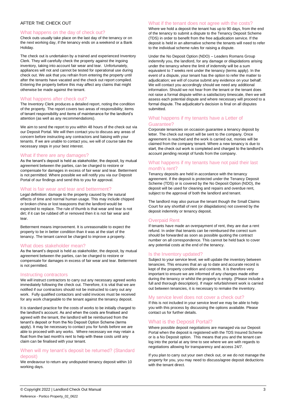#### AFTER THE CHECK OUT

#### What happens on the day of check out?

Check outs usually take place on the last day of the tenancy or on the next working day, if the tenancy ends on a weekend or a Bank Holiday.

The check out is undertaken by a trained and experienced Inventory Clerk. They will carefully check the property against the ingoing inventory, taking into account fair wear and tear. Unfortunately, appliances will not and cannot be tested for operational use during check out. We ask that you refrain from entering the property until after the tenants have vacated and the check out report compiled. Entering the property before this may affect any claims that might otherwise be made against the tenant.

#### What happens after check out?

The Inventory Clerk produces a detailed report, noting the condition of the property. The report covers two areas of responsibility; items of tenant responsibility and items of maintenance for the landlord's attention (as well as any recommendations).

We aim to send the report to you within 48 hours of the check out via our Deposit Portal. We will then contact you to discuss any areas of concern before instructing any contractors and liaising with your tenants. If we are unable to contact you, we will of course take the necessary steps in your best interest.

#### What if there are any damages?

As the tenant's deposit is held as stakeholder, the deposit, by mutual agreement between the parties, can be charged to restore or compensate for damages in excess of fair wear and tear. Betterment is not permitted. Where possible we will notify you via our Deposit Portal of our findings and send this to you for approval.

#### What is fair wear and tear and betterment?

Legal definition: damage to the property caused by the natural effects of time and normal human usage. This may include chipped or broken china or lost teaspoons that the landlord would be expected to replace. The rule of thumb is that wear and tear is not dirt; if it can be rubbed off or removed then it is not fair wear and tear.

Betterment means improvement. It is unreasonable to expect the property to be in better condition than it was at the start of the tenancy. The tenant cannot be charged to improve a property.

#### What does stakeholder mean?

As the tenant's deposit is held as stakeholder, the deposit, by mutual agreement between the parties, can be charged to restore or compensate for damages in excess of fair wear and tear. Betterment is not permitted.

#### Instructing contractors

We will instruct contractors to carry out any necessary agreed works immediately following the check out. Therefore, it is vital that we are notified if our contractors should not be instructed to carry out any work. Fully qualified contactors and valid invoices must be received for any work chargeable to the tenant against the tenancy deposit.

It is standard practice for the costs of works to be initially charged to the landlord's account. As and when the costs are finalised and agreed with the tenant, the landlord will be reimbursed from the tenant's deposit or from the No Deposit Option Scheme (terms apply). It may be necessary to contact you for funds before we are able to proceed with any works. Where necessary we may retain a float from the last month's rent to help with these costs until any claim can be finalised with your tenant.

#### When will my tenant's deposit be returned? (Standard deposit)

We endeavour to return any undisputed tenancy deposit within 10 working days.

#### What if the tenant does not agree with the costs?

Where we hold a deposit the tenant has up to 90 days, from the end of the tenancy to submit a dispute to the Tenancy Deposit Scheme (TDS) in order to benefit from the free adjudication service. If the deposit is held in an alternative scheme the tenants will need to refer to the individual scheme rules for raising a dispute.

Under the No Deposit Option (NDO) – Leaders Romans Group indemnify you, the landlord, for any damage or dilapidations arising under the tenancy where the limit of indemnity will be a sum equivalent to 7 weeks rent under the tenancy (terms apply). In the event of a dispute, your tenant has the option to refer the matter to adjudication; we will of course submit any evidence on your behalf. We will contact you accordingly should we need any additional information. Should we not hear from the tenant or the tenant does not raise a formal dispute within a satisfactory timescale, then we will assess each potential dispute and where necessary will proceed to a formal dispute. The adjudicator's decision is final on all disputes submitted.

#### What happens if my tenants have a Letter of Guarantee?

Corporate tenancies on occasion guarantee a tenancy deposit by letter. The check out report will be sent to the company. Once agreement is reached and the work is carried out, monies will be claimed from the company tenant. Where a new tenancy is due to start, the check out work is completed and charged to the landlord's account pending receipt of funds from the company.

#### What happens if my tenants have not paid their last month's rent?

Tenancy deposits are held in accordance with the tenancy agreement. If the deposit is protected under the Tenancy Deposit Scheme (TDS) or is covered by the No Deposit Option (NDO), the deposit will be used for cleaning and repairs and overdue rent, subject to the approval of both the landlord and tenant.

The landlord may also pursue the tenant though the Small Claims Court for any shortfall of rent (or dilapidations) not covered by the deposit indemnity or tenancy deposit.

#### Overpaid Rent

If tenants have made an overpayment of rent, they are due a rent refund. In order that tenants can be reimbursed the correct sum should be forwarded as soon as possible quoting the contract number on all correspondence. This cannot be held back to cover any potential costs at the end of the tenancy.

#### Is the Inventory updated?

Subject to your service level, we will update the inventory between tenancies. This ensures that an up to date and accurate record is kept of the property condition and contents. It is therefore very important to ensure we are informed of any changes made either during the tenancy or whilst the property is empty. (Please include a full and thorough description). If major refurbishment work is carried out between tenancies, it is necessary to remake the inventory.

#### My service level does not cover a check out?

If this is not included in your service level we may be able to help you with this process by discussing the options available. Please contact us for further details.

#### What is the Deposit Portal?

Where possible deposit negotiations are managed via our Deposit Portal when the deposit is registered with the TDS Insured Scheme or is a No Deposit option. This means that you and the tenant can log into the portal at any time to see where we are with regards to negotiations allowing for transparency and access 24/7.

If you plan to carry out your own check out, or we do not manage the property for you, you may need to discuss/agree deposit deductions with the tenant direct.